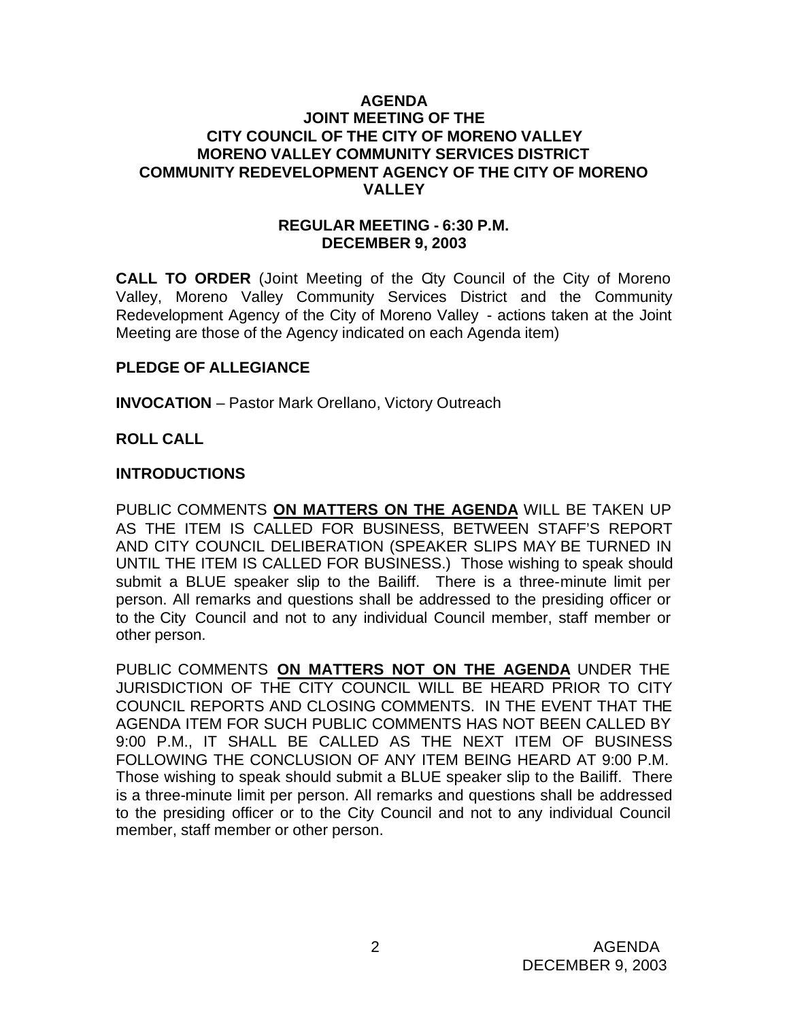#### **AGENDA JOINT MEETING OF THE CITY COUNCIL OF THE CITY OF MORENO VALLEY MORENO VALLEY COMMUNITY SERVICES DISTRICT COMMUNITY REDEVELOPMENT AGENCY OF THE CITY OF MORENO VALLEY**

#### **REGULAR MEETING - 6:30 P.M. DECEMBER 9, 2003**

**CALL TO ORDER** (Joint Meeting of the City Council of the City of Moreno Valley, Moreno Valley Community Services District and the Community Redevelopment Agency of the City of Moreno Valley - actions taken at the Joint Meeting are those of the Agency indicated on each Agenda item)

## **PLEDGE OF ALLEGIANCE**

**INVOCATION** – Pastor Mark Orellano, Victory Outreach

## **ROLL CALL**

## **INTRODUCTIONS**

PUBLIC COMMENTS **ON MATTERS ON THE AGENDA** WILL BE TAKEN UP AS THE ITEM IS CALLED FOR BUSINESS, BETWEEN STAFF'S REPORT AND CITY COUNCIL DELIBERATION (SPEAKER SLIPS MAY BE TURNED IN UNTIL THE ITEM IS CALLED FOR BUSINESS.) Those wishing to speak should submit a BLUE speaker slip to the Bailiff. There is a three-minute limit per person. All remarks and questions shall be addressed to the presiding officer or to the City Council and not to any individual Council member, staff member or other person.

PUBLIC COMMENTS **ON MATTERS NOT ON THE AGENDA** UNDER THE JURISDICTION OF THE CITY COUNCIL WILL BE HEARD PRIOR TO CITY COUNCIL REPORTS AND CLOSING COMMENTS. IN THE EVENT THAT THE AGENDA ITEM FOR SUCH PUBLIC COMMENTS HAS NOT BEEN CALLED BY 9:00 P.M., IT SHALL BE CALLED AS THE NEXT ITEM OF BUSINESS FOLLOWING THE CONCLUSION OF ANY ITEM BEING HEARD AT 9:00 P.M. Those wishing to speak should submit a BLUE speaker slip to the Bailiff. There is a three-minute limit per person. All remarks and questions shall be addressed to the presiding officer or to the City Council and not to any individual Council member, staff member or other person.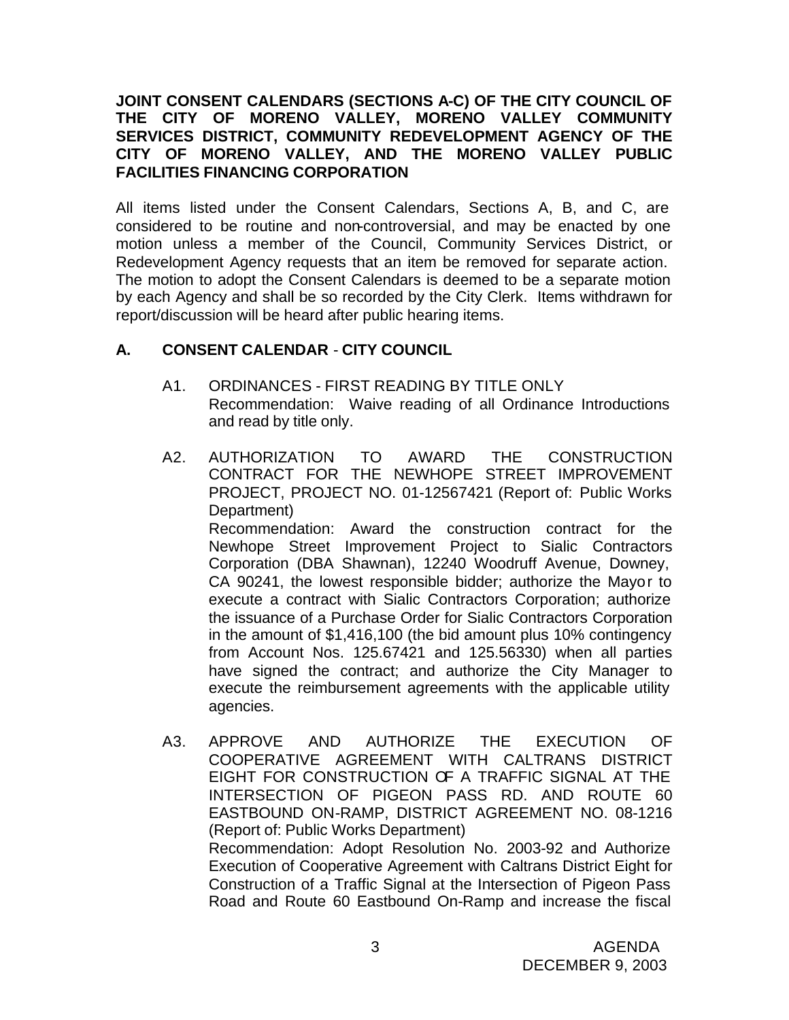## **JOINT CONSENT CALENDARS (SECTIONS A-C) OF THE CITY COUNCIL OF THE CITY OF MORENO VALLEY, MORENO VALLEY COMMUNITY SERVICES DISTRICT, COMMUNITY REDEVELOPMENT AGENCY OF THE CITY OF MORENO VALLEY, AND THE MORENO VALLEY PUBLIC FACILITIES FINANCING CORPORATION**

All items listed under the Consent Calendars, Sections A, B, and C, are considered to be routine and non-controversial, and may be enacted by one motion unless a member of the Council, Community Services District, or Redevelopment Agency requests that an item be removed for separate action. The motion to adopt the Consent Calendars is deemed to be a separate motion by each Agency and shall be so recorded by the City Clerk. Items withdrawn for report/discussion will be heard after public hearing items.

# **A. CONSENT CALENDAR** - **CITY COUNCIL**

- A1. ORDINANCES FIRST READING BY TITLE ONLY Recommendation: Waive reading of all Ordinance Introductions and read by title only.
- A2. AUTHORIZATION TO AWARD THE CONSTRUCTION CONTRACT FOR THE NEWHOPE STREET IMPROVEMENT PROJECT, PROJECT NO. 01-12567421 (Report of: Public Works Department)

Recommendation: Award the construction contract for the Newhope Street Improvement Project to Sialic Contractors Corporation (DBA Shawnan), 12240 Woodruff Avenue, Downey, CA 90241, the lowest responsible bidder; authorize the Mayor to execute a contract with Sialic Contractors Corporation; authorize the issuance of a Purchase Order for Sialic Contractors Corporation in the amount of \$1,416,100 (the bid amount plus 10% contingency from Account Nos. 125.67421 and 125.56330) when all parties have signed the contract; and authorize the City Manager to execute the reimbursement agreements with the applicable utility agencies.

A3. APPROVE AND AUTHORIZE THE EXECUTION OF COOPERATIVE AGREEMENT WITH CALTRANS DISTRICT EIGHT FOR CONSTRUCTION OF A TRAFFIC SIGNAL AT THE INTERSECTION OF PIGEON PASS RD. AND ROUTE 60 EASTBOUND ON-RAMP, DISTRICT AGREEMENT NO. 08-1216 (Report of: Public Works Department) Recommendation: Adopt Resolution No. 2003-92 and Authorize Execution of Cooperative Agreement with Caltrans District Eight for Construction of a Traffic Signal at the Intersection of Pigeon Pass Road and Route 60 Eastbound On-Ramp and increase the fiscal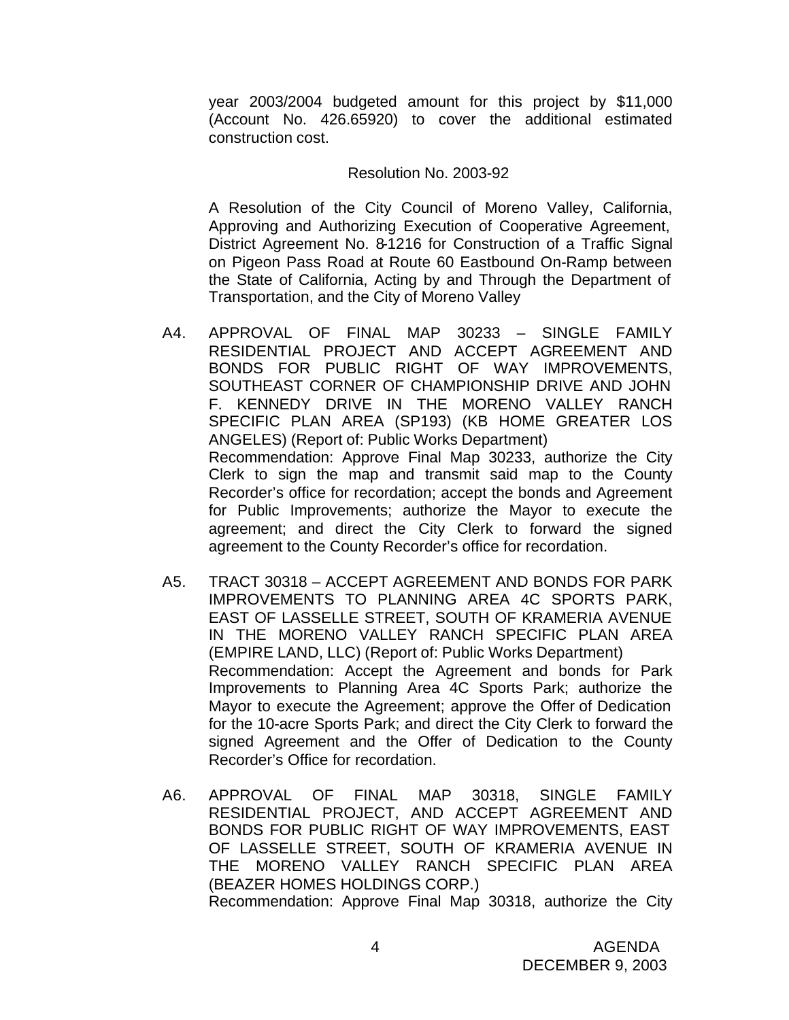year 2003/2004 budgeted amount for this project by \$11,000 (Account No. 426.65920) to cover the additional estimated construction cost.

#### Resolution No. 2003-92

A Resolution of the City Council of Moreno Valley, California, Approving and Authorizing Execution of Cooperative Agreement, District Agreement No. 8-1216 for Construction of a Traffic Signal on Pigeon Pass Road at Route 60 Eastbound On-Ramp between the State of California, Acting by and Through the Department of Transportation, and the City of Moreno Valley

- A4. APPROVAL OF FINAL MAP 30233 SINGLE FAMILY RESIDENTIAL PROJECT AND ACCEPT AGREEMENT AND BONDS FOR PUBLIC RIGHT OF WAY IMPROVEMENTS, SOUTHEAST CORNER OF CHAMPIONSHIP DRIVE AND JOHN F. KENNEDY DRIVE IN THE MORENO VALLEY RANCH SPECIFIC PLAN AREA (SP193) (KB HOME GREATER LOS ANGELES) (Report of: Public Works Department) Recommendation: Approve Final Map 30233, authorize the City Clerk to sign the map and transmit said map to the County Recorder's office for recordation; accept the bonds and Agreement for Public Improvements; authorize the Mayor to execute the agreement; and direct the City Clerk to forward the signed agreement to the County Recorder's office for recordation.
- A5. TRACT 30318 ACCEPT AGREEMENT AND BONDS FOR PARK IMPROVEMENTS TO PLANNING AREA 4C SPORTS PARK, EAST OF LASSELLE STREET, SOUTH OF KRAMERIA AVENUE IN THE MORENO VALLEY RANCH SPECIFIC PLAN AREA (EMPIRE LAND, LLC) (Report of: Public Works Department) Recommendation: Accept the Agreement and bonds for Park Improvements to Planning Area 4C Sports Park; authorize the Mayor to execute the Agreement; approve the Offer of Dedication for the 10-acre Sports Park; and direct the City Clerk to forward the signed Agreement and the Offer of Dedication to the County Recorder's Office for recordation.
- A6. APPROVAL OF FINAL MAP 30318, SINGLE FAMILY RESIDENTIAL PROJECT, AND ACCEPT AGREEMENT AND BONDS FOR PUBLIC RIGHT OF WAY IMPROVEMENTS, EAST OF LASSELLE STREET, SOUTH OF KRAMERIA AVENUE IN THE MORENO VALLEY RANCH SPECIFIC PLAN AREA (BEAZER HOMES HOLDINGS CORP.) Recommendation: Approve Final Map 30318, authorize the City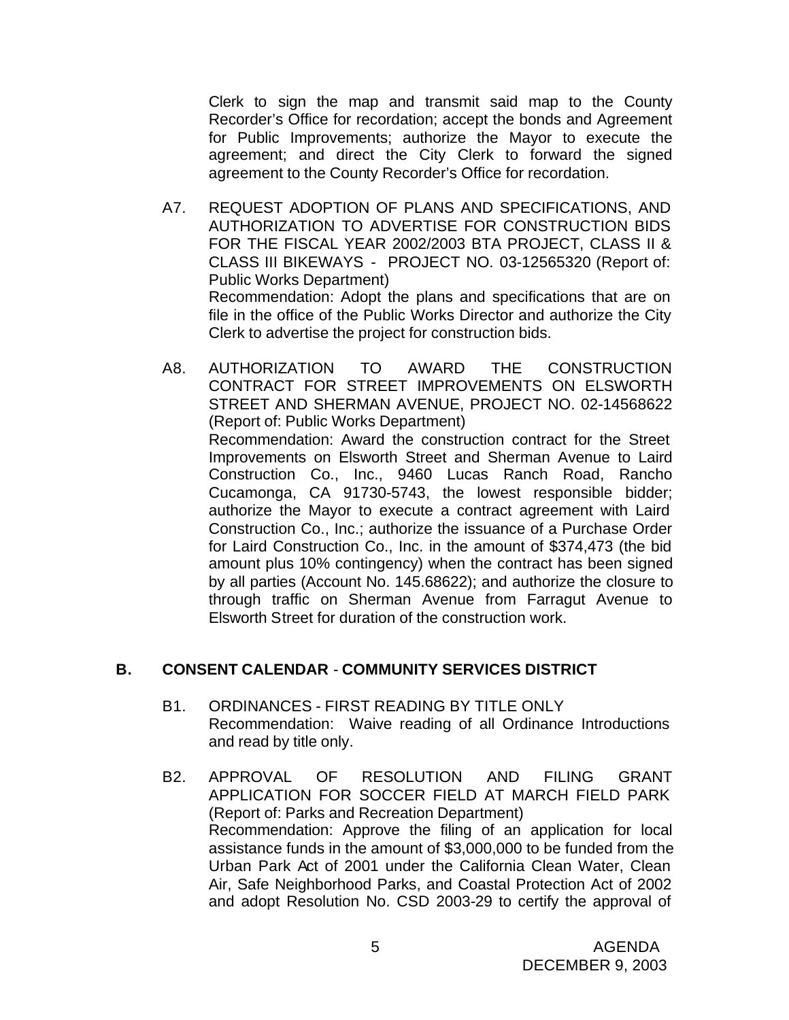Clerk to sign the map and transmit said map to the County Recorder's Office for recordation; accept the bonds and Agreement for Public Improvements; authorize the Mayor to execute the agreement; and direct the City Clerk to forward the signed agreement to the County Recorder's Office for recordation.

- A7. REQUEST ADOPTION OF PLANS AND SPECIFICATIONS, AND AUTHORIZATION TO ADVERTISE FOR CONSTRUCTION BIDS FOR THE FISCAL YEAR 2002/2003 BTA PROJECT, CLASS II & CLASS III BIKEWAYS - PROJECT NO. 03-12565320 (Report of: Public Works Department) Recommendation: Adopt the plans and specifications that are on file in the office of the Public Works Director and authorize the City Clerk to advertise the project for construction bids.
- A8. AUTHORIZATION TO AWARD THE CONSTRUCTION CONTRACT FOR STREET IMPROVEMENTS ON ELSWORTH STREET AND SHERMAN AVENUE, PROJECT NO. 02-14568622 (Report of: Public Works Department) Recommendation: Award the construction contract for the Street Improvements on Elsworth Street and Sherman Avenue to Laird Construction Co., Inc., 9460 Lucas Ranch Road, Rancho Cucamonga, CA 91730-5743, the lowest responsible bidder; authorize the Mayor to execute a contract agreement with Laird Construction Co., Inc.; authorize the issuance of a Purchase Order for Laird Construction Co., Inc. in the amount of \$374,473 (the bid amount plus 10% contingency) when the contract has been signed by all parties (Account No. 145.68622); and authorize the closure to through traffic on Sherman Avenue from Farragut Avenue to Elsworth Street for duration of the construction work.

## **B. CONSENT CALENDAR** - **COMMUNITY SERVICES DISTRICT**

- B1. ORDINANCES FIRST READING BY TITLE ONLY Recommendation: Waive reading of all Ordinance Introductions and read by title only.
- B2. APPROVAL OF RESOLUTION AND FILING GRANT APPLICATION FOR SOCCER FIELD AT MARCH FIELD PARK (Report of: Parks and Recreation Department) Recommendation: Approve the filing of an application for local assistance funds in the amount of \$3,000,000 to be funded from the Urban Park Act of 2001 under the California Clean Water, Clean Air, Safe Neighborhood Parks, and Coastal Protection Act of 2002 and adopt Resolution No. CSD 2003-29 to certify the approval of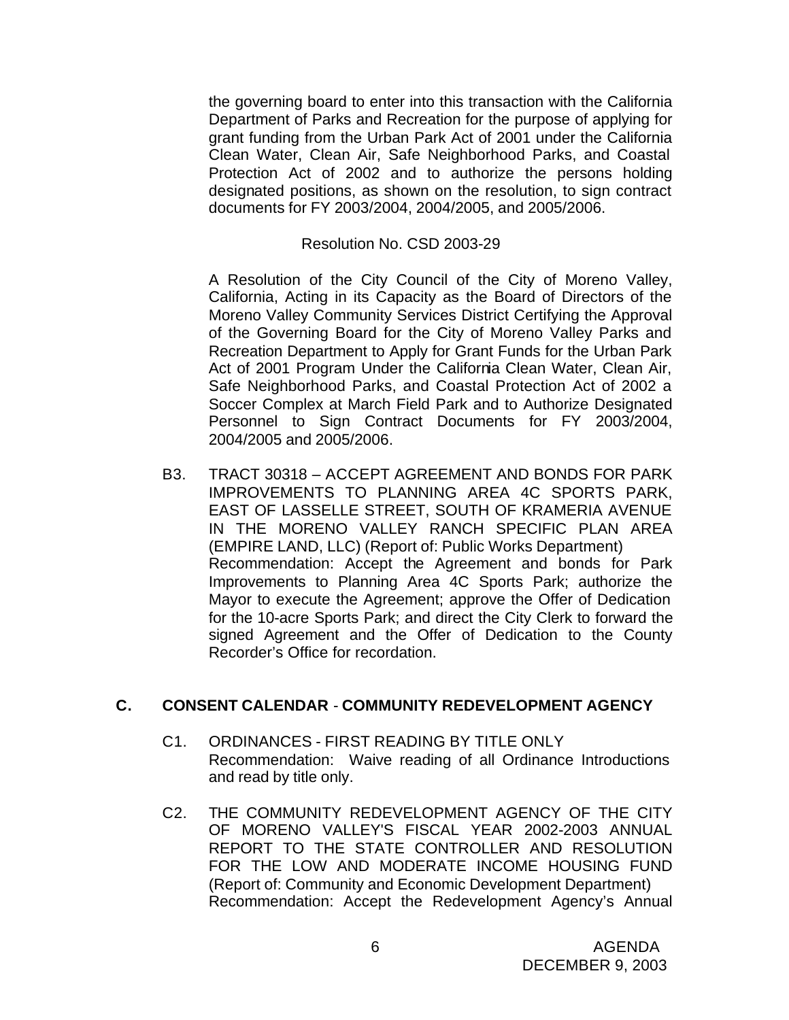the governing board to enter into this transaction with the California Department of Parks and Recreation for the purpose of applying for grant funding from the Urban Park Act of 2001 under the California Clean Water, Clean Air, Safe Neighborhood Parks, and Coastal Protection Act of 2002 and to authorize the persons holding designated positions, as shown on the resolution, to sign contract documents for FY 2003/2004, 2004/2005, and 2005/2006.

#### Resolution No. CSD 2003-29

A Resolution of the City Council of the City of Moreno Valley, California, Acting in its Capacity as the Board of Directors of the Moreno Valley Community Services District Certifying the Approval of the Governing Board for the City of Moreno Valley Parks and Recreation Department to Apply for Grant Funds for the Urban Park Act of 2001 Program Under the California Clean Water, Clean Air, Safe Neighborhood Parks, and Coastal Protection Act of 2002 a Soccer Complex at March Field Park and to Authorize Designated Personnel to Sign Contract Documents for FY 2003/2004, 2004/2005 and 2005/2006.

B3. TRACT 30318 – ACCEPT AGREEMENT AND BONDS FOR PARK IMPROVEMENTS TO PLANNING AREA 4C SPORTS PARK, EAST OF LASSELLE STREET, SOUTH OF KRAMERIA AVENUE IN THE MORENO VALLEY RANCH SPECIFIC PLAN AREA (EMPIRE LAND, LLC) (Report of: Public Works Department) Recommendation: Accept the Agreement and bonds for Park Improvements to Planning Area 4C Sports Park; authorize the Mayor to execute the Agreement; approve the Offer of Dedication for the 10-acre Sports Park; and direct the City Clerk to forward the signed Agreement and the Offer of Dedication to the County Recorder's Office for recordation.

## **C. CONSENT CALENDAR** - **COMMUNITY REDEVELOPMENT AGENCY**

- C1. ORDINANCES FIRST READING BY TITLE ONLY Recommendation: Waive reading of all Ordinance Introductions and read by title only.
- C2. THE COMMUNITY REDEVELOPMENT AGENCY OF THE CITY OF MORENO VALLEY'S FISCAL YEAR 2002-2003 ANNUAL REPORT TO THE STATE CONTROLLER AND RESOLUTION FOR THE LOW AND MODERATE INCOME HOUSING FUND (Report of: Community and Economic Development Department) Recommendation: Accept the Redevelopment Agency's Annual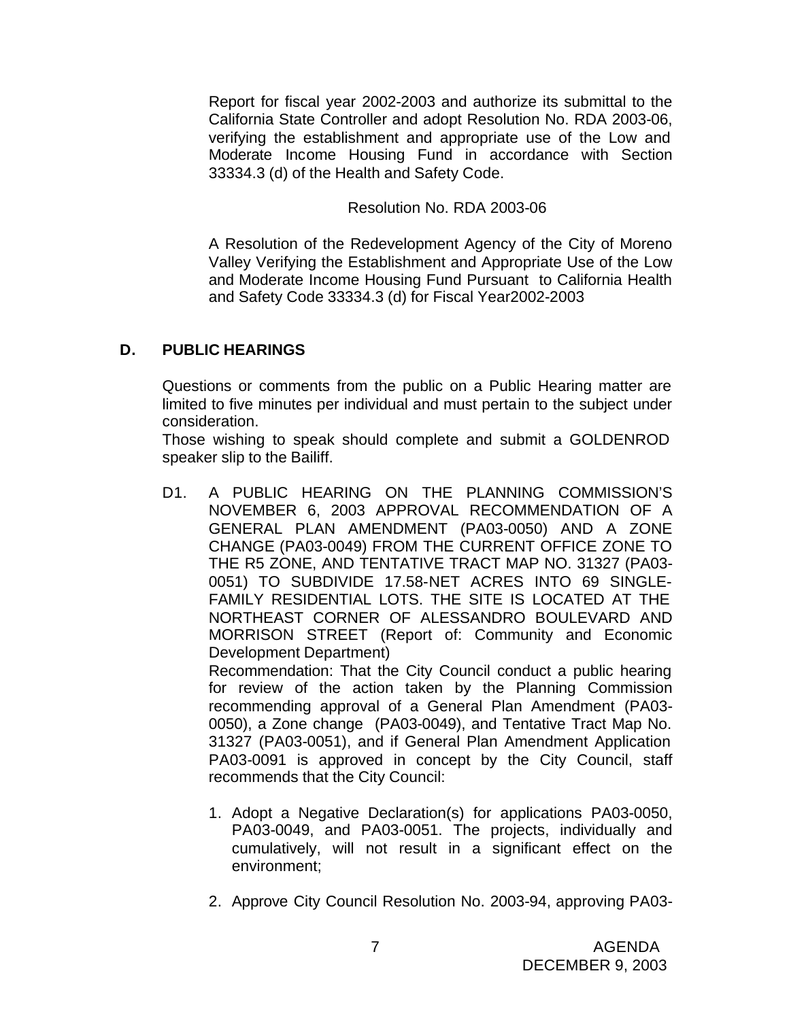Report for fiscal year 2002-2003 and authorize its submittal to the California State Controller and adopt Resolution No. RDA 2003-06, verifying the establishment and appropriate use of the Low and Moderate Income Housing Fund in accordance with Section 33334.3 (d) of the Health and Safety Code.

Resolution No. RDA 2003-06

A Resolution of the Redevelopment Agency of the City of Moreno Valley Verifying the Establishment and Appropriate Use of the Low and Moderate Income Housing Fund Pursuant to California Health and Safety Code 33334.3 (d) for Fiscal Year2002-2003

# **D. PUBLIC HEARINGS**

Questions or comments from the public on a Public Hearing matter are limited to five minutes per individual and must pertain to the subject under consideration.

Those wishing to speak should complete and submit a GOLDENROD speaker slip to the Bailiff.

D1. A PUBLIC HEARING ON THE PLANNING COMMISSION'S NOVEMBER 6, 2003 APPROVAL RECOMMENDATION OF A GENERAL PLAN AMENDMENT (PA03-0050) AND A ZONE CHANGE (PA03-0049) FROM THE CURRENT OFFICE ZONE TO THE R5 ZONE, AND TENTATIVE TRACT MAP NO. 31327 (PA03- 0051) TO SUBDIVIDE 17.58-NET ACRES INTO 69 SINGLE-FAMILY RESIDENTIAL LOTS. THE SITE IS LOCATED AT THE NORTHEAST CORNER OF ALESSANDRO BOULEVARD AND MORRISON STREET (Report of: Community and Economic Development Department) Recommendation: That the City Council conduct a public hearing for review of the action taken by the Planning Commission

recommending approval of a General Plan Amendment (PA03- 0050), a Zone change (PA03-0049), and Tentative Tract Map No. 31327 (PA03-0051), and if General Plan Amendment Application PA03-0091 is approved in concept by the City Council, staff recommends that the City Council:

- 1. Adopt a Negative Declaration(s) for applications PA03-0050, PA03-0049, and PA03-0051. The projects, individually and cumulatively, will not result in a significant effect on the environment;
- 2. Approve City Council Resolution No. 2003-94, approving PA03-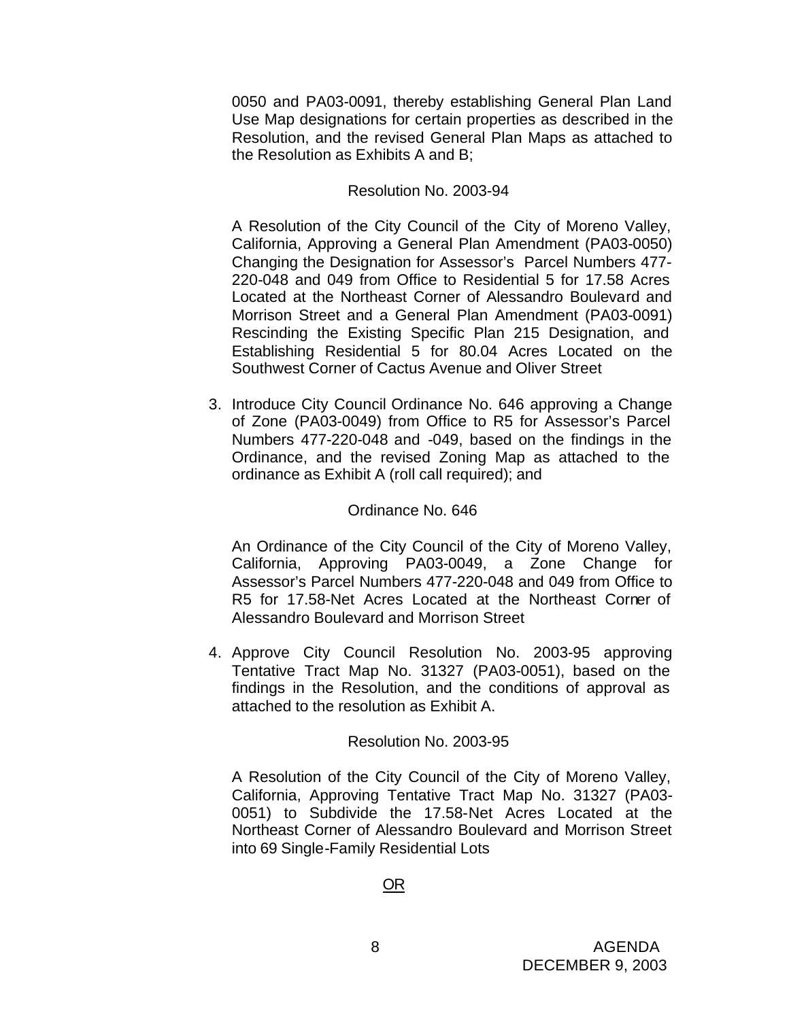0050 and PA03-0091, thereby establishing General Plan Land Use Map designations for certain properties as described in the Resolution, and the revised General Plan Maps as attached to the Resolution as Exhibits A and B;

#### Resolution No. 2003-94

A Resolution of the City Council of the City of Moreno Valley, California, Approving a General Plan Amendment (PA03-0050) Changing the Designation for Assessor's Parcel Numbers 477- 220-048 and 049 from Office to Residential 5 for 17.58 Acres Located at the Northeast Corner of Alessandro Boulevard and Morrison Street and a General Plan Amendment (PA03-0091) Rescinding the Existing Specific Plan 215 Designation, and Establishing Residential 5 for 80.04 Acres Located on the Southwest Corner of Cactus Avenue and Oliver Street

3. Introduce City Council Ordinance No. 646 approving a Change of Zone (PA03-0049) from Office to R5 for Assessor's Parcel Numbers 477-220-048 and -049, based on the findings in the Ordinance, and the revised Zoning Map as attached to the ordinance as Exhibit A (roll call required); and

#### Ordinance No. 646

An Ordinance of the City Council of the City of Moreno Valley, California, Approving PA03-0049, a Zone Change for Assessor's Parcel Numbers 477-220-048 and 049 from Office to R5 for 17.58-Net Acres Located at the Northeast Corner of Alessandro Boulevard and Morrison Street

4. Approve City Council Resolution No. 2003-95 approving Tentative Tract Map No. 31327 (PA03-0051), based on the findings in the Resolution, and the conditions of approval as attached to the resolution as Exhibit A.

#### Resolution No. 2003-95

A Resolution of the City Council of the City of Moreno Valley, California, Approving Tentative Tract Map No. 31327 (PA03- 0051) to Subdivide the 17.58-Net Acres Located at the Northeast Corner of Alessandro Boulevard and Morrison Street into 69 Single-Family Residential Lots

OR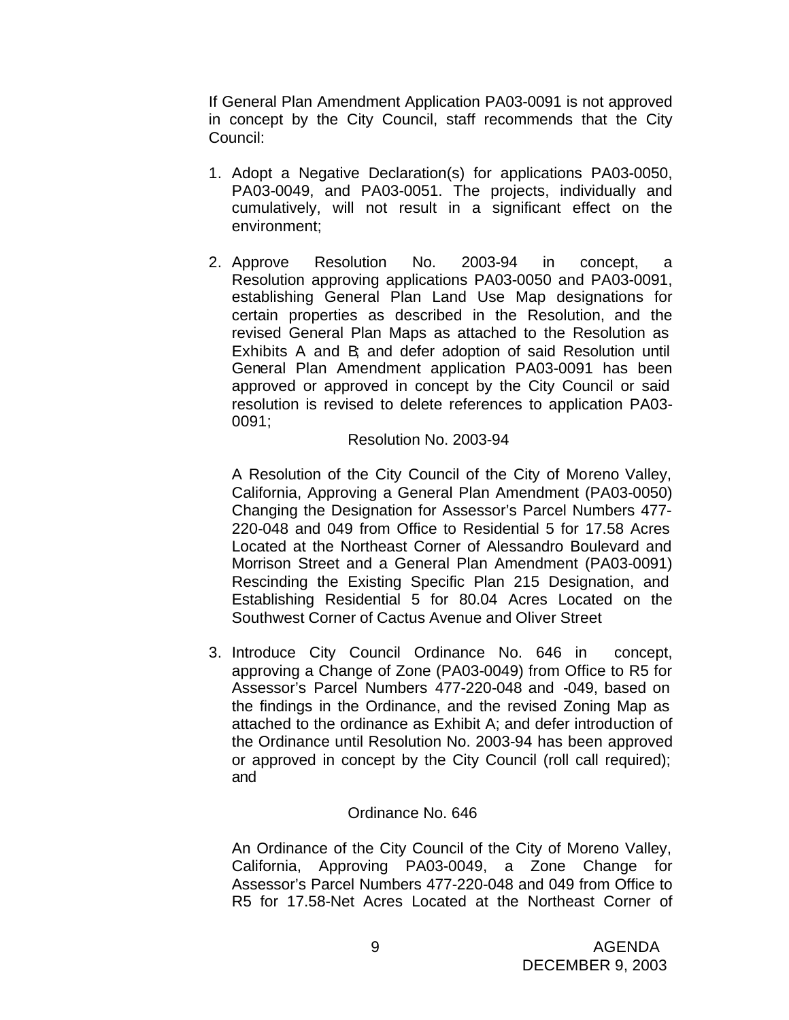If General Plan Amendment Application PA03-0091 is not approved in concept by the City Council, staff recommends that the City Council:

- 1. Adopt a Negative Declaration(s) for applications PA03-0050, PA03-0049, and PA03-0051. The projects, individually and cumulatively, will not result in a significant effect on the environment;
- 2. Approve Resolution No. 2003-94 in concept, a Resolution approving applications PA03-0050 and PA03-0091, establishing General Plan Land Use Map designations for certain properties as described in the Resolution, and the revised General Plan Maps as attached to the Resolution as Exhibits A and B; and defer adoption of said Resolution until General Plan Amendment application PA03-0091 has been approved or approved in concept by the City Council or said resolution is revised to delete references to application PA03- 0091;

#### Resolution No. 2003-94

A Resolution of the City Council of the City of Moreno Valley, California, Approving a General Plan Amendment (PA03-0050) Changing the Designation for Assessor's Parcel Numbers 477- 220-048 and 049 from Office to Residential 5 for 17.58 Acres Located at the Northeast Corner of Alessandro Boulevard and Morrison Street and a General Plan Amendment (PA03-0091) Rescinding the Existing Specific Plan 215 Designation, and Establishing Residential 5 for 80.04 Acres Located on the Southwest Corner of Cactus Avenue and Oliver Street

3. Introduce City Council Ordinance No. 646 in concept, approving a Change of Zone (PA03-0049) from Office to R5 for Assessor's Parcel Numbers 477-220-048 and -049, based on the findings in the Ordinance, and the revised Zoning Map as attached to the ordinance as Exhibit A; and defer introduction of the Ordinance until Resolution No. 2003-94 has been approved or approved in concept by the City Council (roll call required); and

## Ordinance No. 646

An Ordinance of the City Council of the City of Moreno Valley, California, Approving PA03-0049, a Zone Change for Assessor's Parcel Numbers 477-220-048 and 049 from Office to R5 for 17.58-Net Acres Located at the Northeast Corner of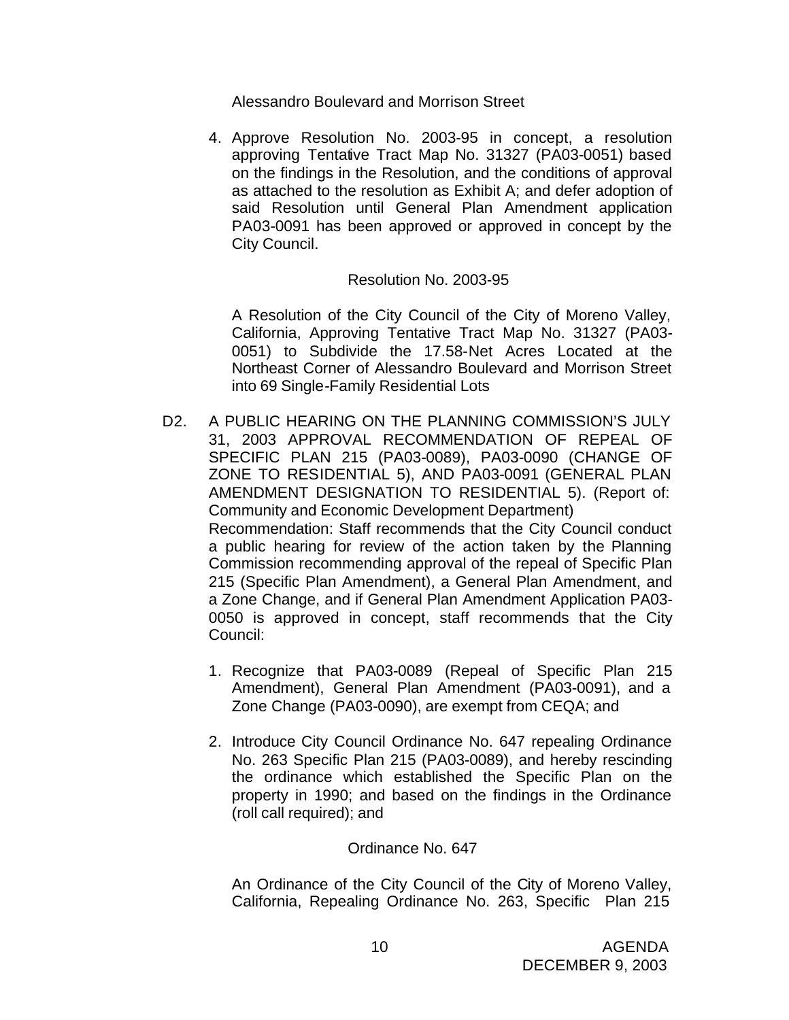Alessandro Boulevard and Morrison Street

4. Approve Resolution No. 2003-95 in concept, a resolution approving Tentative Tract Map No. 31327 (PA03-0051) based on the findings in the Resolution, and the conditions of approval as attached to the resolution as Exhibit A; and defer adoption of said Resolution until General Plan Amendment application PA03-0091 has been approved or approved in concept by the City Council.

## Resolution No. 2003-95

A Resolution of the City Council of the City of Moreno Valley, California, Approving Tentative Tract Map No. 31327 (PA03- 0051) to Subdivide the 17.58-Net Acres Located at the Northeast Corner of Alessandro Boulevard and Morrison Street into 69 Single-Family Residential Lots

- D2. A PUBLIC HEARING ON THE PLANNING COMMISSION'S JULY 31, 2003 APPROVAL RECOMMENDATION OF REPEAL OF SPECIFIC PLAN 215 (PA03-0089), PA03-0090 (CHANGE OF ZONE TO RESIDENTIAL 5), AND PA03-0091 (GENERAL PLAN AMENDMENT DESIGNATION TO RESIDENTIAL 5). (Report of: Community and Economic Development Department) Recommendation: Staff recommends that the City Council conduct a public hearing for review of the action taken by the Planning Commission recommending approval of the repeal of Specific Plan 215 (Specific Plan Amendment), a General Plan Amendment, and a Zone Change, and if General Plan Amendment Application PA03- 0050 is approved in concept, staff recommends that the City Council:
	- 1. Recognize that PA03-0089 (Repeal of Specific Plan 215 Amendment), General Plan Amendment (PA03-0091), and a Zone Change (PA03-0090), are exempt from CEQA; and
	- 2. Introduce City Council Ordinance No. 647 repealing Ordinance No. 263 Specific Plan 215 (PA03-0089), and hereby rescinding the ordinance which established the Specific Plan on the property in 1990; and based on the findings in the Ordinance (roll call required); and

#### Ordinance No. 647

An Ordinance of the City Council of the City of Moreno Valley, California, Repealing Ordinance No. 263, Specific Plan 215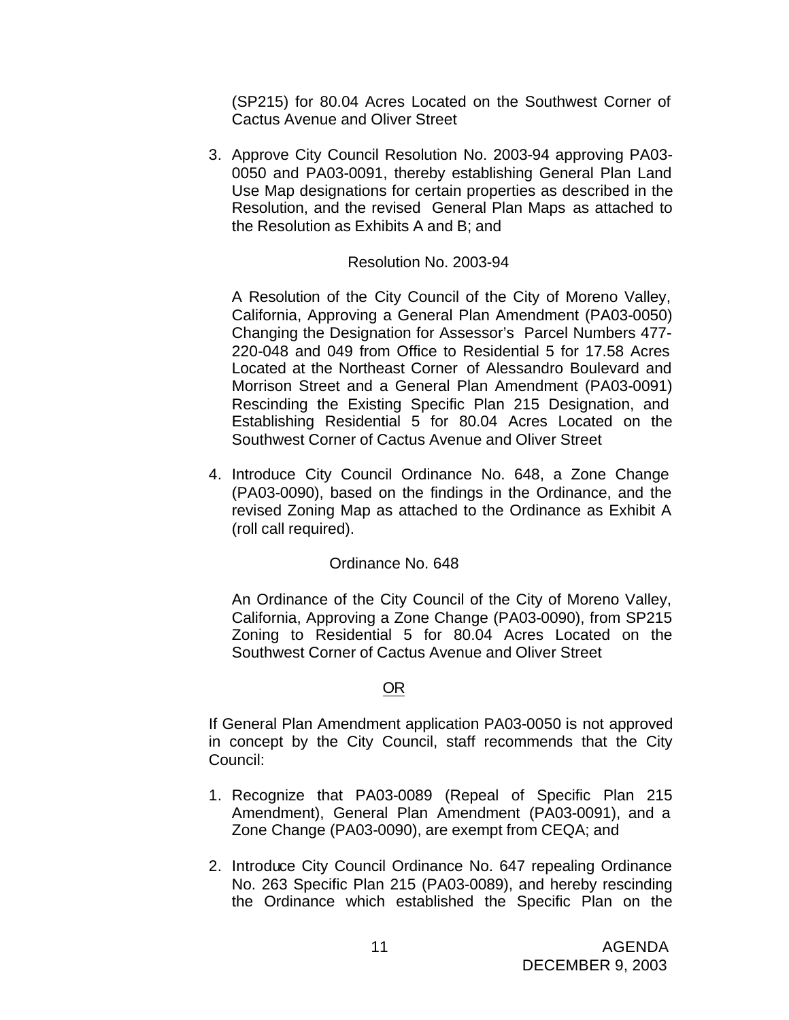(SP215) for 80.04 Acres Located on the Southwest Corner of Cactus Avenue and Oliver Street

3. Approve City Council Resolution No. 2003-94 approving PA03- 0050 and PA03-0091, thereby establishing General Plan Land Use Map designations for certain properties as described in the Resolution, and the revised General Plan Maps as attached to the Resolution as Exhibits A and B; and

#### Resolution No. 2003-94

A Resolution of the City Council of the City of Moreno Valley, California, Approving a General Plan Amendment (PA03-0050) Changing the Designation for Assessor's Parcel Numbers 477- 220-048 and 049 from Office to Residential 5 for 17.58 Acres Located at the Northeast Corner of Alessandro Boulevard and Morrison Street and a General Plan Amendment (PA03-0091) Rescinding the Existing Specific Plan 215 Designation, and Establishing Residential 5 for 80.04 Acres Located on the Southwest Corner of Cactus Avenue and Oliver Street

4. Introduce City Council Ordinance No. 648, a Zone Change (PA03-0090), based on the findings in the Ordinance, and the revised Zoning Map as attached to the Ordinance as Exhibit A (roll call required).

## Ordinance No. 648

An Ordinance of the City Council of the City of Moreno Valley, California, Approving a Zone Change (PA03-0090), from SP215 Zoning to Residential 5 for 80.04 Acres Located on the Southwest Corner of Cactus Avenue and Oliver Street

#### OR

If General Plan Amendment application PA03-0050 is not approved in concept by the City Council, staff recommends that the City Council:

- 1. Recognize that PA03-0089 (Repeal of Specific Plan 215 Amendment), General Plan Amendment (PA03-0091), and a Zone Change (PA03-0090), are exempt from CEQA; and
- 2. Introduce City Council Ordinance No. 647 repealing Ordinance No. 263 Specific Plan 215 (PA03-0089), and hereby rescinding the Ordinance which established the Specific Plan on the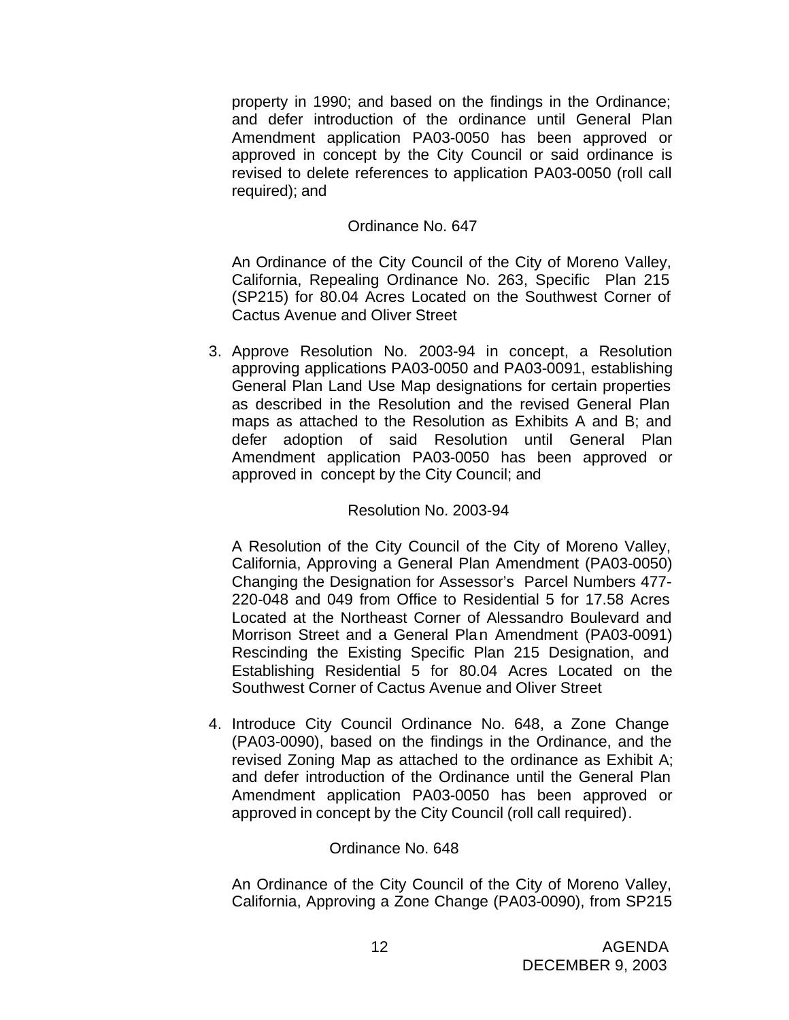property in 1990; and based on the findings in the Ordinance; and defer introduction of the ordinance until General Plan Amendment application PA03-0050 has been approved or approved in concept by the City Council or said ordinance is revised to delete references to application PA03-0050 (roll call required); and

## Ordinance No. 647

An Ordinance of the City Council of the City of Moreno Valley, California, Repealing Ordinance No. 263, Specific Plan 215 (SP215) for 80.04 Acres Located on the Southwest Corner of Cactus Avenue and Oliver Street

3. Approve Resolution No. 2003-94 in concept, a Resolution approving applications PA03-0050 and PA03-0091, establishing General Plan Land Use Map designations for certain properties as described in the Resolution and the revised General Plan maps as attached to the Resolution as Exhibits A and B; and defer adoption of said Resolution until General Plan Amendment application PA03-0050 has been approved or approved in concept by the City Council; and

## Resolution No. 2003-94

A Resolution of the City Council of the City of Moreno Valley, California, Approving a General Plan Amendment (PA03-0050) Changing the Designation for Assessor's Parcel Numbers 477- 220-048 and 049 from Office to Residential 5 for 17.58 Acres Located at the Northeast Corner of Alessandro Boulevard and Morrison Street and a General Plan Amendment (PA03-0091) Rescinding the Existing Specific Plan 215 Designation, and Establishing Residential 5 for 80.04 Acres Located on the Southwest Corner of Cactus Avenue and Oliver Street

4. Introduce City Council Ordinance No. 648, a Zone Change (PA03-0090), based on the findings in the Ordinance, and the revised Zoning Map as attached to the ordinance as Exhibit A; and defer introduction of the Ordinance until the General Plan Amendment application PA03-0050 has been approved or approved in concept by the City Council (roll call required).

#### Ordinance No. 648

An Ordinance of the City Council of the City of Moreno Valley, California, Approving a Zone Change (PA03-0090), from SP215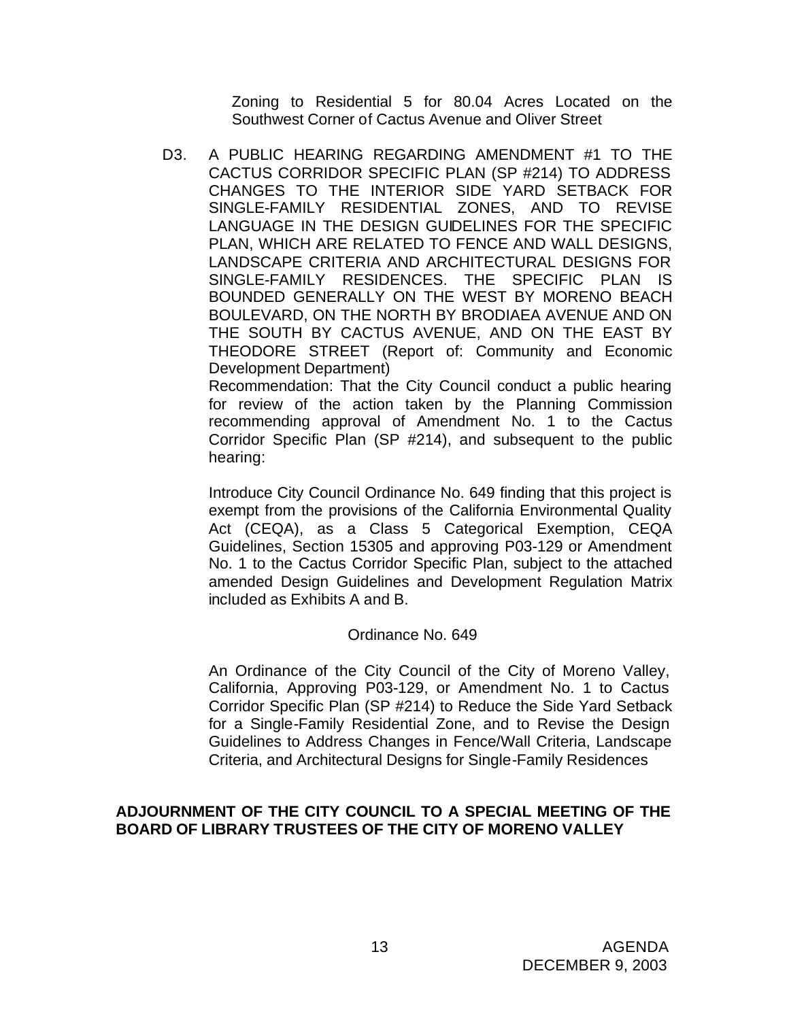Zoning to Residential 5 for 80.04 Acres Located on the Southwest Corner of Cactus Avenue and Oliver Street

D3. A PUBLIC HEARING REGARDING AMENDMENT #1 TO THE CACTUS CORRIDOR SPECIFIC PLAN (SP #214) TO ADDRESS CHANGES TO THE INTERIOR SIDE YARD SETBACK FOR SINGLE-FAMILY RESIDENTIAL ZONES, AND TO REVISE LANGUAGE IN THE DESIGN GUIDELINES FOR THE SPECIFIC PLAN, WHICH ARE RELATED TO FENCE AND WALL DESIGNS, LANDSCAPE CRITERIA AND ARCHITECTURAL DESIGNS FOR SINGLE-FAMILY RESIDENCES. THE SPECIFIC PLAN IS BOUNDED GENERALLY ON THE WEST BY MORENO BEACH BOULEVARD, ON THE NORTH BY BRODIAEA AVENUE AND ON THE SOUTH BY CACTUS AVENUE, AND ON THE EAST BY THEODORE STREET (Report of: Community and Economic Development Department)

Recommendation: That the City Council conduct a public hearing for review of the action taken by the Planning Commission recommending approval of Amendment No. 1 to the Cactus Corridor Specific Plan (SP #214), and subsequent to the public hearing:

Introduce City Council Ordinance No. 649 finding that this project is exempt from the provisions of the California Environmental Quality Act (CEQA), as a Class 5 Categorical Exemption, CEQA Guidelines, Section 15305 and approving P03-129 or Amendment No. 1 to the Cactus Corridor Specific Plan, subject to the attached amended Design Guidelines and Development Regulation Matrix included as Exhibits A and B.

## Ordinance No. 649

An Ordinance of the City Council of the City of Moreno Valley, California, Approving P03-129, or Amendment No. 1 to Cactus Corridor Specific Plan (SP #214) to Reduce the Side Yard Setback for a Single-Family Residential Zone, and to Revise the Design Guidelines to Address Changes in Fence/Wall Criteria, Landscape Criteria, and Architectural Designs for Single-Family Residences

#### **ADJOURNMENT OF THE CITY COUNCIL TO A SPECIAL MEETING OF THE BOARD OF LIBRARY TRUSTEES OF THE CITY OF MORENO VALLEY**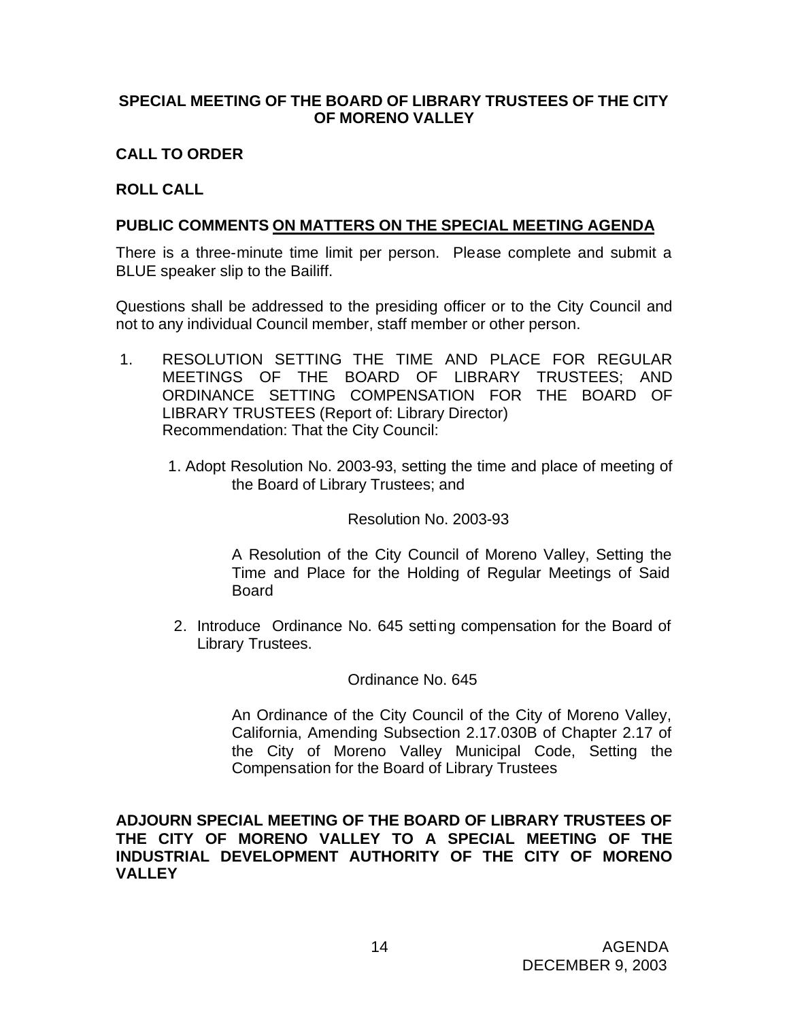## **SPECIAL MEETING OF THE BOARD OF LIBRARY TRUSTEES OF THE CITY OF MORENO VALLEY**

# **CALL TO ORDER**

# **ROLL CALL**

# **PUBLIC COMMENTS ON MATTERS ON THE SPECIAL MEETING AGENDA**

There is a three-minute time limit per person. Please complete and submit a BLUE speaker slip to the Bailiff.

Questions shall be addressed to the presiding officer or to the City Council and not to any individual Council member, staff member or other person.

- 1. RESOLUTION SETTING THE TIME AND PLACE FOR REGULAR MEETINGS OF THE BOARD OF LIBRARY TRUSTEES; AND ORDINANCE SETTING COMPENSATION FOR THE BOARD OF LIBRARY TRUSTEES (Report of: Library Director) Recommendation: That the City Council:
	- 1. Adopt Resolution No. 2003-93, setting the time and place of meeting of the Board of Library Trustees; and

## Resolution No. 2003-93

A Resolution of the City Council of Moreno Valley, Setting the Time and Place for the Holding of Regular Meetings of Said Board

2. Introduce Ordinance No. 645 setting compensation for the Board of Library Trustees.

## Ordinance No. 645

An Ordinance of the City Council of the City of Moreno Valley, California, Amending Subsection 2.17.030B of Chapter 2.17 of the City of Moreno Valley Municipal Code, Setting the Compensation for the Board of Library Trustees

**ADJOURN SPECIAL MEETING OF THE BOARD OF LIBRARY TRUSTEES OF THE CITY OF MORENO VALLEY TO A SPECIAL MEETING OF THE INDUSTRIAL DEVELOPMENT AUTHORITY OF THE CITY OF MORENO VALLEY**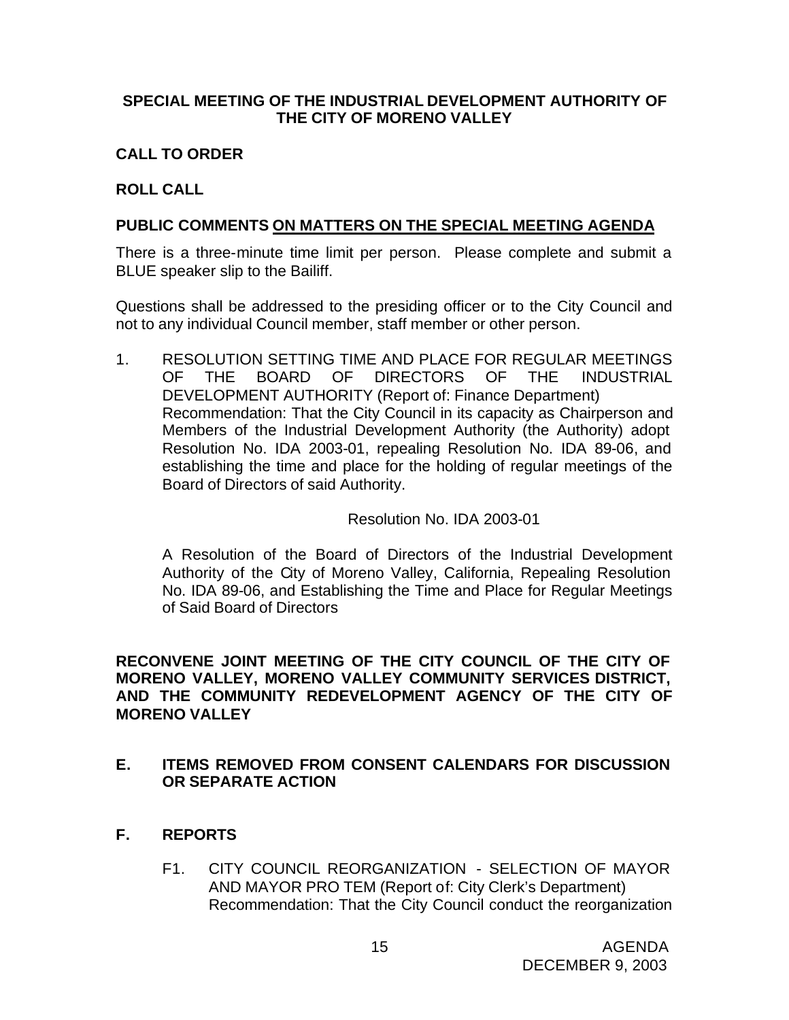# **SPECIAL MEETING OF THE INDUSTRIAL DEVELOPMENT AUTHORITY OF THE CITY OF MORENO VALLEY**

# **CALL TO ORDER**

# **ROLL CALL**

## **PUBLIC COMMENTS ON MATTERS ON THE SPECIAL MEETING AGENDA**

There is a three-minute time limit per person. Please complete and submit a BLUE speaker slip to the Bailiff.

Questions shall be addressed to the presiding officer or to the City Council and not to any individual Council member, staff member or other person.

1. RESOLUTION SETTING TIME AND PLACE FOR REGULAR MEETINGS OF THE BOARD OF DIRECTORS OF THE INDUSTRIAL DEVELOPMENT AUTHORITY (Report of: Finance Department) Recommendation: That the City Council in its capacity as Chairperson and Members of the Industrial Development Authority (the Authority) adopt Resolution No. IDA 2003-01, repealing Resolution No. IDA 89-06, and establishing the time and place for the holding of regular meetings of the Board of Directors of said Authority.

## Resolution No. IDA 2003-01

A Resolution of the Board of Directors of the Industrial Development Authority of the City of Moreno Valley, California, Repealing Resolution No. IDA 89-06, and Establishing the Time and Place for Regular Meetings of Said Board of Directors

**RECONVENE JOINT MEETING OF THE CITY COUNCIL OF THE CITY OF MORENO VALLEY, MORENO VALLEY COMMUNITY SERVICES DISTRICT, AND THE COMMUNITY REDEVELOPMENT AGENCY OF THE CITY OF MORENO VALLEY**

## **E. ITEMS REMOVED FROM CONSENT CALENDARS FOR DISCUSSION OR SEPARATE ACTION**

- **F. REPORTS**
	- F1. CITY COUNCIL REORGANIZATION SELECTION OF MAYOR AND MAYOR PRO TEM (Report of: City Clerk's Department) Recommendation: That the City Council conduct the reorganization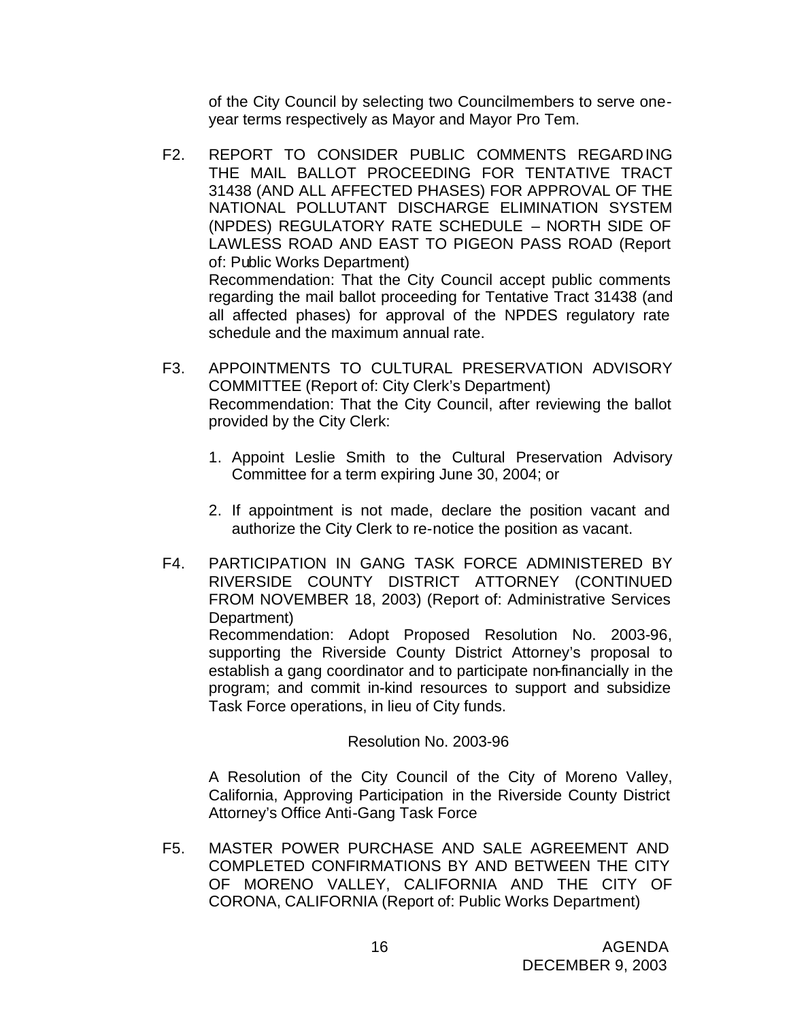of the City Council by selecting two Councilmembers to serve oneyear terms respectively as Mayor and Mayor Pro Tem.

- F2. REPORT TO CONSIDER PUBLIC COMMENTS REGARDING THE MAIL BALLOT PROCEEDING FOR TENTATIVE TRACT 31438 (AND ALL AFFECTED PHASES) FOR APPROVAL OF THE NATIONAL POLLUTANT DISCHARGE ELIMINATION SYSTEM (NPDES) REGULATORY RATE SCHEDULE – NORTH SIDE OF LAWLESS ROAD AND EAST TO PIGEON PASS ROAD (Report of: Public Works Department) Recommendation: That the City Council accept public comments regarding the mail ballot proceeding for Tentative Tract 31438 (and all affected phases) for approval of the NPDES regulatory rate schedule and the maximum annual rate.
- F3. APPOINTMENTS TO CULTURAL PRESERVATION ADVISORY COMMITTEE (Report of: City Clerk's Department) Recommendation: That the City Council, after reviewing the ballot provided by the City Clerk:
	- 1. Appoint Leslie Smith to the Cultural Preservation Advisory Committee for a term expiring June 30, 2004; or
	- 2. If appointment is not made, declare the position vacant and authorize the City Clerk to re-notice the position as vacant.
- F4. PARTICIPATION IN GANG TASK FORCE ADMINISTERED BY RIVERSIDE COUNTY DISTRICT ATTORNEY (CONTINUED FROM NOVEMBER 18, 2003) (Report of: Administrative Services Department)

Recommendation: Adopt Proposed Resolution No. 2003-96, supporting the Riverside County District Attorney's proposal to establish a gang coordinator and to participate non-financially in the program; and commit in-kind resources to support and subsidize Task Force operations, in lieu of City funds.

## Resolution No. 2003-96

A Resolution of the City Council of the City of Moreno Valley, California, Approving Participation in the Riverside County District Attorney's Office Anti-Gang Task Force

F5. MASTER POWER PURCHASE AND SALE AGREEMENT AND COMPLETED CONFIRMATIONS BY AND BETWEEN THE CITY OF MORENO VALLEY, CALIFORNIA AND THE CITY OF CORONA, CALIFORNIA (Report of: Public Works Department)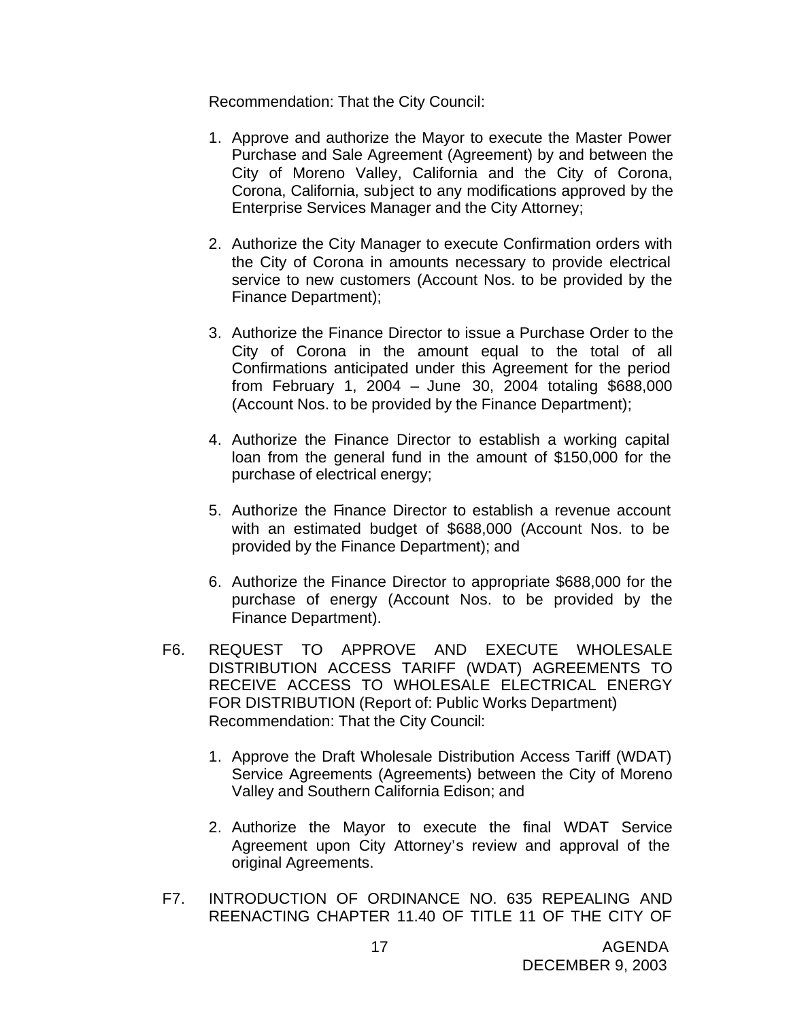Recommendation: That the City Council:

- 1. Approve and authorize the Mayor to execute the Master Power Purchase and Sale Agreement (Agreement) by and between the City of Moreno Valley, California and the City of Corona, Corona, California, subject to any modifications approved by the Enterprise Services Manager and the City Attorney;
- 2. Authorize the City Manager to execute Confirmation orders with the City of Corona in amounts necessary to provide electrical service to new customers (Account Nos. to be provided by the Finance Department);
- 3. Authorize the Finance Director to issue a Purchase Order to the City of Corona in the amount equal to the total of all Confirmations anticipated under this Agreement for the period from February 1, 2004 – June 30, 2004 totaling \$688,000 (Account Nos. to be provided by the Finance Department);
- 4. Authorize the Finance Director to establish a working capital loan from the general fund in the amount of \$150,000 for the purchase of electrical energy;
- 5. Authorize the Finance Director to establish a revenue account with an estimated budget of \$688,000 (Account Nos. to be provided by the Finance Department); and
- 6. Authorize the Finance Director to appropriate \$688,000 for the purchase of energy (Account Nos. to be provided by the Finance Department).
- F6. REQUEST TO APPROVE AND EXECUTE WHOLESALE DISTRIBUTION ACCESS TARIFF (WDAT) AGREEMENTS TO RECEIVE ACCESS TO WHOLESALE ELECTRICAL ENERGY FOR DISTRIBUTION (Report of: Public Works Department) Recommendation: That the City Council:
	- 1. Approve the Draft Wholesale Distribution Access Tariff (WDAT) Service Agreements (Agreements) between the City of Moreno Valley and Southern California Edison; and
	- 2. Authorize the Mayor to execute the final WDAT Service Agreement upon City Attorney's review and approval of the original Agreements.
- F7. INTRODUCTION OF ORDINANCE NO. 635 REPEALING AND REENACTING CHAPTER 11.40 OF TITLE 11 OF THE CITY OF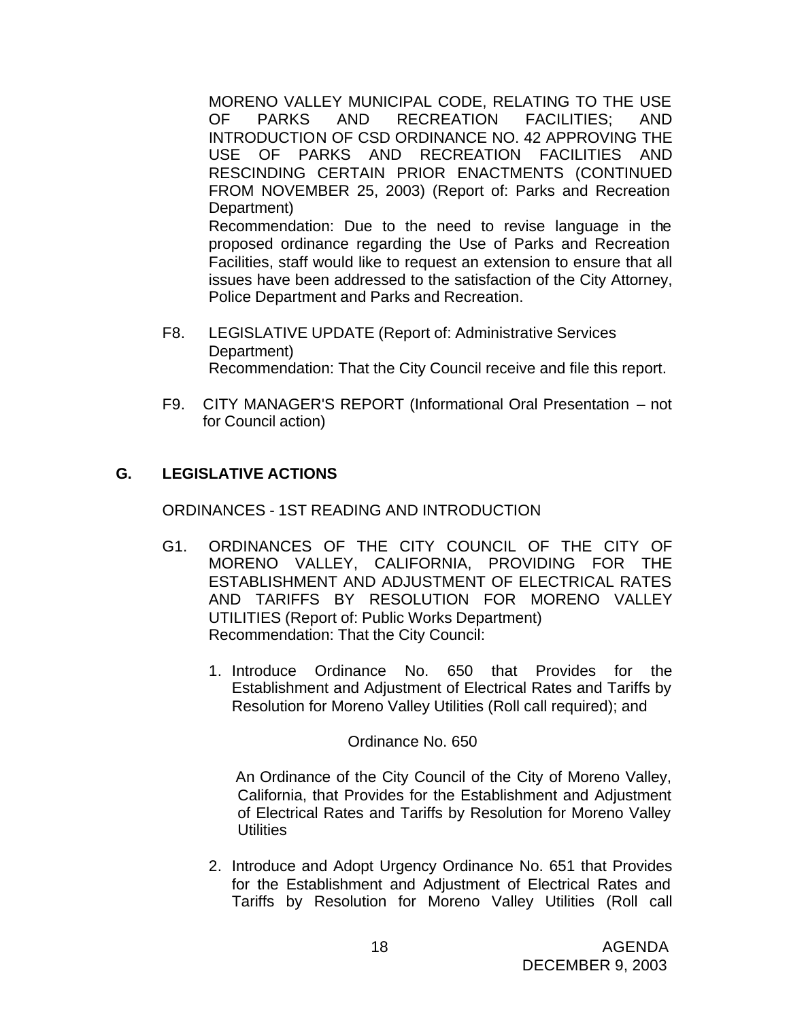MORENO VALLEY MUNICIPAL CODE, RELATING TO THE USE OF PARKS AND RECREATION FACILITIES; AND INTRODUCTION OF CSD ORDINANCE NO. 42 APPROVING THE USE OF PARKS AND RECREATION FACILITIES AND RESCINDING CERTAIN PRIOR ENACTMENTS (CONTINUED FROM NOVEMBER 25, 2003) (Report of: Parks and Recreation Department) Recommendation: Due to the need to revise language in the proposed ordinance regarding the Use of Parks and Recreation Facilities, staff would like to request an extension to ensure that all issues have been addressed to the satisfaction of the City Attorney,

F8. LEGISLATIVE UPDATE (Report of: Administrative Services Department) Recommendation: That the City Council receive and file this report.

Police Department and Parks and Recreation.

F9. CITY MANAGER'S REPORT (Informational Oral Presentation – not for Council action)

## **G. LEGISLATIVE ACTIONS**

ORDINANCES - 1ST READING AND INTRODUCTION

- G1. ORDINANCES OF THE CITY COUNCIL OF THE CITY OF MORENO VALLEY, CALIFORNIA, PROVIDING FOR THE ESTABLISHMENT AND ADJUSTMENT OF ELECTRICAL RATES AND TARIFFS BY RESOLUTION FOR MORENO VALLEY UTILITIES (Report of: Public Works Department) Recommendation: That the City Council:
	- 1. Introduce Ordinance No. 650 that Provides for the Establishment and Adjustment of Electrical Rates and Tariffs by Resolution for Moreno Valley Utilities (Roll call required); and

Ordinance No. 650

 An Ordinance of the City Council of the City of Moreno Valley, California, that Provides for the Establishment and Adjustment of Electrical Rates and Tariffs by Resolution for Moreno Valley **Utilities** 

2. Introduce and Adopt Urgency Ordinance No. 651 that Provides for the Establishment and Adjustment of Electrical Rates and Tariffs by Resolution for Moreno Valley Utilities (Roll call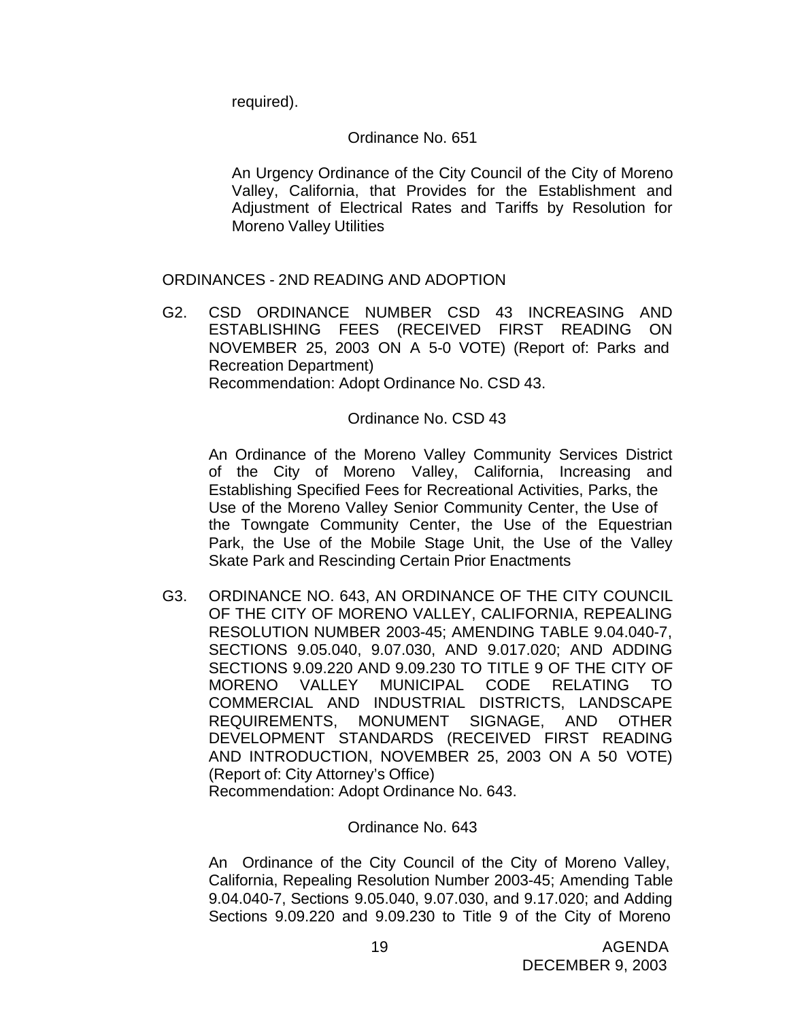required).

## Ordinance No. 651

An Urgency Ordinance of the City Council of the City of Moreno Valley, California, that Provides for the Establishment and Adjustment of Electrical Rates and Tariffs by Resolution for Moreno Valley Utilities

## ORDINANCES - 2ND READING AND ADOPTION

G2. CSD ORDINANCE NUMBER CSD 43 INCREASING AND ESTABLISHING FEES (RECEIVED FIRST READING ON NOVEMBER 25, 2003 ON A 5-0 VOTE) (Report of: Parks and Recreation Department) Recommendation: Adopt Ordinance No. CSD 43.

## Ordinance No. CSD 43

An Ordinance of the Moreno Valley Community Services District of the City of Moreno Valley, California, Increasing and Establishing Specified Fees for Recreational Activities, Parks, the Use of the Moreno Valley Senior Community Center, the Use of the Towngate Community Center, the Use of the Equestrian Park, the Use of the Mobile Stage Unit, the Use of the Valley Skate Park and Rescinding Certain Prior Enactments

G3. ORDINANCE NO. 643, AN ORDINANCE OF THE CITY COUNCIL OF THE CITY OF MORENO VALLEY, CALIFORNIA, REPEALING RESOLUTION NUMBER 2003-45; AMENDING TABLE 9.04.040-7, SECTIONS 9.05.040, 9.07.030, AND 9.017.020; AND ADDING SECTIONS 9.09.220 AND 9.09.230 TO TITLE 9 OF THE CITY OF MORENO VALLEY MUNICIPAL CODE RELATING TO COMMERCIAL AND INDUSTRIAL DISTRICTS, LANDSCAPE REQUIREMENTS, MONUMENT SIGNAGE, AND OTHER DEVELOPMENT STANDARDS (RECEIVED FIRST READING AND INTRODUCTION, NOVEMBER 25, 2003 ON A 50 VOTE) (Report of: City Attorney's Office)

Recommendation: Adopt Ordinance No. 643.

## Ordinance No. 643

An Ordinance of the City Council of the City of Moreno Valley, California, Repealing Resolution Number 2003-45; Amending Table 9.04.040-7, Sections 9.05.040, 9.07.030, and 9.17.020; and Adding Sections 9.09.220 and 9.09.230 to Title 9 of the City of Moreno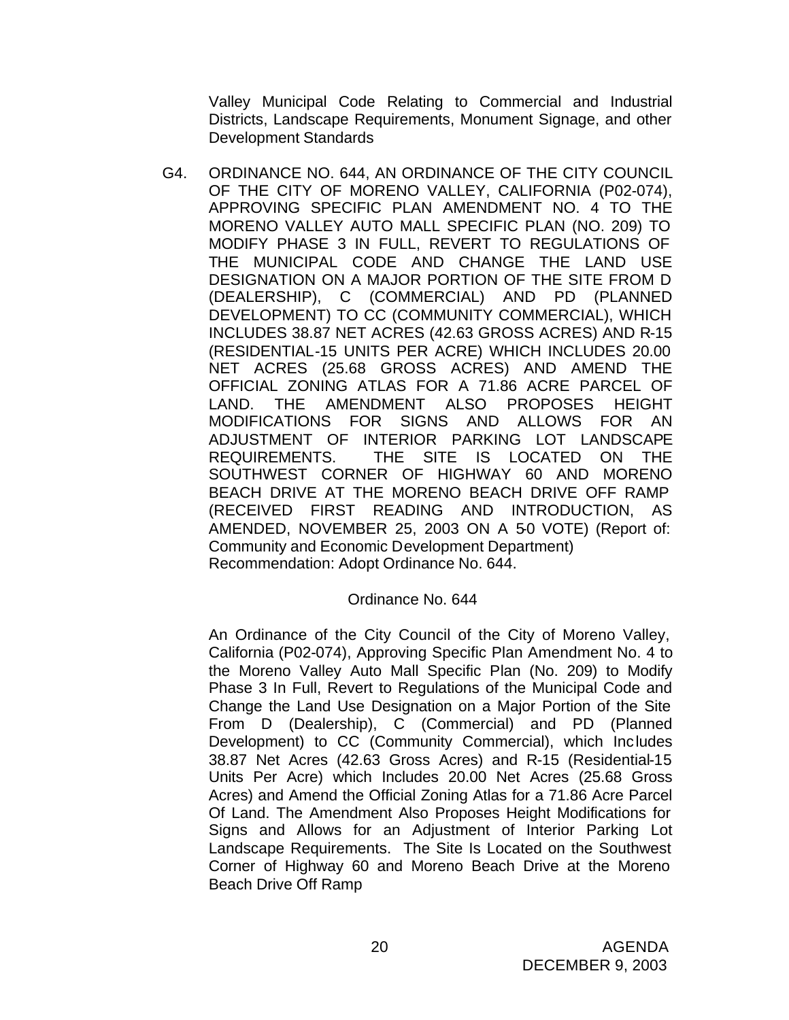Valley Municipal Code Relating to Commercial and Industrial Districts, Landscape Requirements, Monument Signage, and other Development Standards

G4. ORDINANCE NO. 644, AN ORDINANCE OF THE CITY COUNCIL OF THE CITY OF MORENO VALLEY, CALIFORNIA (P02-074), APPROVING SPECIFIC PLAN AMENDMENT NO. 4 TO THE MORENO VALLEY AUTO MALL SPECIFIC PLAN (NO. 209) TO MODIFY PHASE 3 IN FULL, REVERT TO REGULATIONS OF THE MUNICIPAL CODE AND CHANGE THE LAND USE DESIGNATION ON A MAJOR PORTION OF THE SITE FROM D (DEALERSHIP), C (COMMERCIAL) AND PD (PLANNED DEVELOPMENT) TO CC (COMMUNITY COMMERCIAL), WHICH INCLUDES 38.87 NET ACRES (42.63 GROSS ACRES) AND R-15 (RESIDENTIAL-15 UNITS PER ACRE) WHICH INCLUDES 20.00 NET ACRES (25.68 GROSS ACRES) AND AMEND THE OFFICIAL ZONING ATLAS FOR A 71.86 ACRE PARCEL OF LAND. THE AMENDMENT ALSO PROPOSES HEIGHT MODIFICATIONS FOR SIGNS AND ALLOWS FOR AN ADJUSTMENT OF INTERIOR PARKING LOT LANDSCAPE REQUIREMENTS. THE SITE IS LOCATED ON THE SOUTHWEST CORNER OF HIGHWAY 60 AND MORENO BEACH DRIVE AT THE MORENO BEACH DRIVE OFF RAMP (RECEIVED FIRST READING AND INTRODUCTION, AS AMENDED, NOVEMBER 25, 2003 ON A 50 VOTE) (Report of: Community and Economic Development Department) Recommendation: Adopt Ordinance No. 644.

## Ordinance No. 644

An Ordinance of the City Council of the City of Moreno Valley, California (P02-074), Approving Specific Plan Amendment No. 4 to the Moreno Valley Auto Mall Specific Plan (No. 209) to Modify Phase 3 In Full, Revert to Regulations of the Municipal Code and Change the Land Use Designation on a Major Portion of the Site From D (Dealership), C (Commercial) and PD (Planned Development) to CC (Community Commercial), which Includes 38.87 Net Acres (42.63 Gross Acres) and R-15 (Residential-15 Units Per Acre) which Includes 20.00 Net Acres (25.68 Gross Acres) and Amend the Official Zoning Atlas for a 71.86 Acre Parcel Of Land. The Amendment Also Proposes Height Modifications for Signs and Allows for an Adjustment of Interior Parking Lot Landscape Requirements. The Site Is Located on the Southwest Corner of Highway 60 and Moreno Beach Drive at the Moreno Beach Drive Off Ramp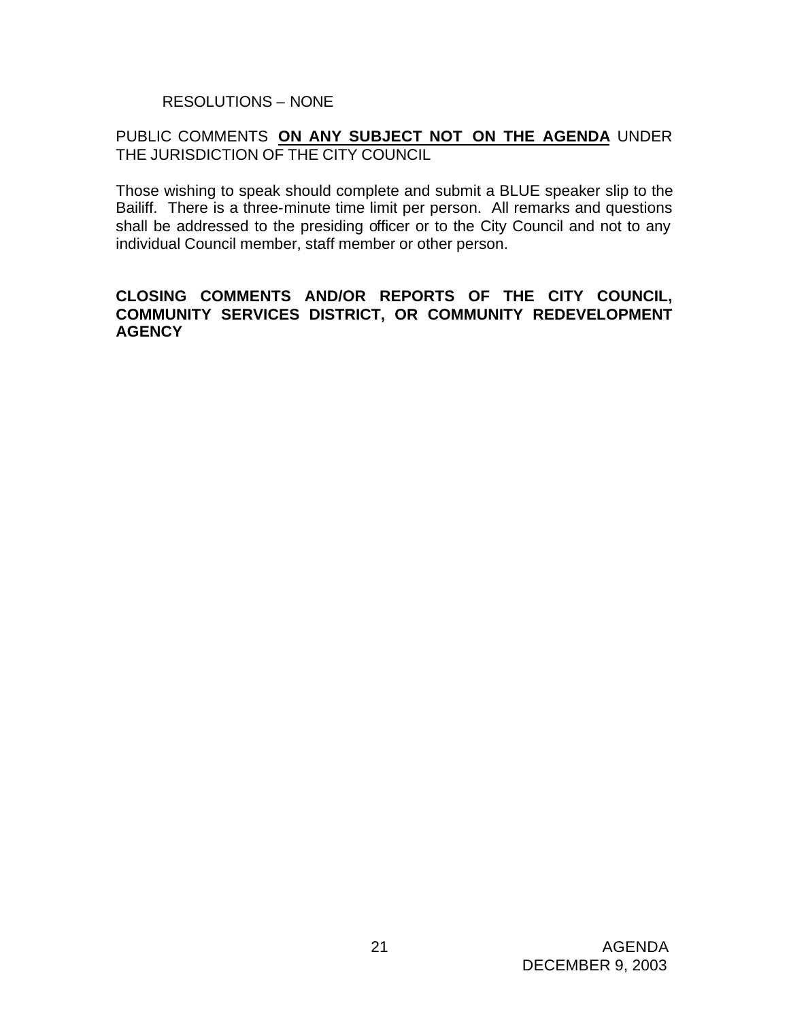RESOLUTIONS – NONE

## PUBLIC COMMENTS **ON ANY SUBJECT NOT ON THE AGENDA** UNDER THE JURISDICTION OF THE CITY COUNCIL

Those wishing to speak should complete and submit a BLUE speaker slip to the Bailiff. There is a three-minute time limit per person. All remarks and questions shall be addressed to the presiding officer or to the City Council and not to any individual Council member, staff member or other person.

## **CLOSING COMMENTS AND/OR REPORTS OF THE CITY COUNCIL, COMMUNITY SERVICES DISTRICT, OR COMMUNITY REDEVELOPMENT AGENCY**